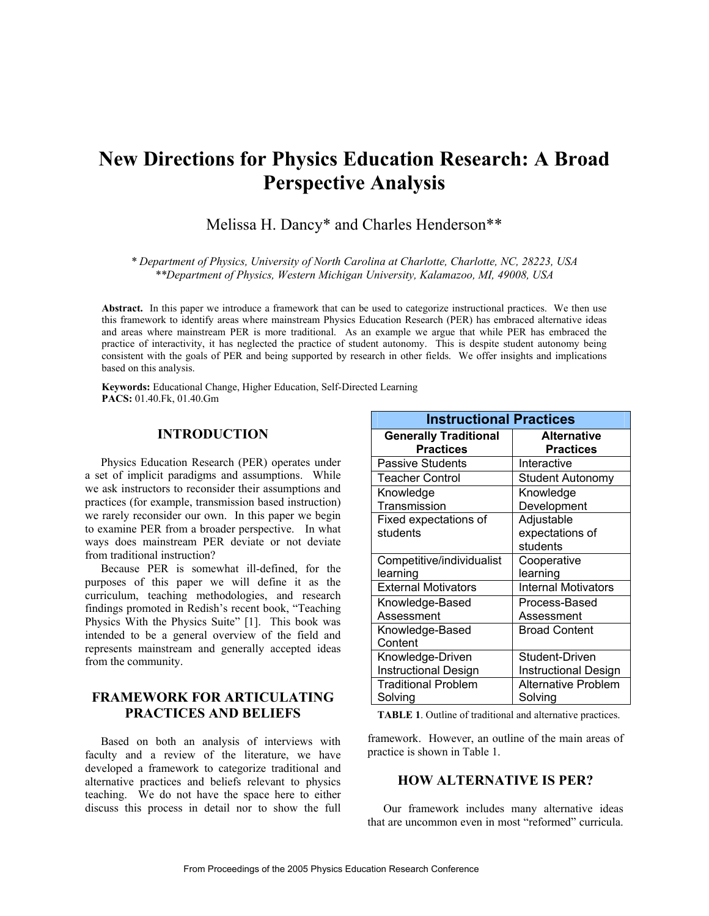# **New Directions for Physics Education Research: A Broad Perspective Analysis**

# Melissa H. Dancy\* and Charles Henderson\*\*

*\* Department of Physics, University of North Carolina at Charlotte, Charlotte, NC, 28223, USA \*\*Department of Physics, Western Michigan University, Kalamazoo, MI, 49008, USA* 

**Abstract.** In this paper we introduce a framework that can be used to categorize instructional practices. We then use this framework to identify areas where mainstream Physics Education Research (PER) has embraced alternative ideas and areas where mainstream PER is more traditional. As an example we argue that while PER has embraced the practice of interactivity, it has neglected the practice of student autonomy. This is despite student autonomy being consistent with the goals of PER and being supported by research in other fields. We offer insights and implications based on this analysis.

**Keywords:** Educational Change, Higher Education, Self-Directed Learning **PACS:** 01.40.Fk, 01.40.Gm

### **INTRODUCTION**

Physics Education Research (PER) operates under a set of implicit paradigms and assumptions. While we ask instructors to reconsider their assumptions and practices (for example, transmission based instruction) we rarely reconsider our own. In this paper we begin to examine PER from a broader perspective. In what ways does mainstream PER deviate or not deviate from traditional instruction?

Because PER is somewhat ill-defined, for the purposes of this paper we will define it as the curriculum, teaching methodologies, and research findings promoted in Redish's recent book, "Teaching Physics With the Physics Suite" [1]. This book was intended to be a general overview of the field and represents mainstream and generally accepted ideas from the community.

## **FRAMEWORK FOR ARTICULATING PRACTICES AND BELIEFS**

Based on both an analysis of interviews with faculty and a review of the literature, we have developed a framework to categorize traditional and alternative practices and beliefs relevant to physics teaching. We do not have the space here to either discuss this process in detail nor to show the full

| <b>Instructional Practices</b>                   |                                        |
|--------------------------------------------------|----------------------------------------|
| <b>Generally Traditional</b><br><b>Practices</b> | <b>Alternative</b><br><b>Practices</b> |
| <b>Passive Students</b>                          | Interactive                            |
| Teacher Control                                  | <b>Student Autonomy</b>                |
| Knowledge                                        | Knowledge                              |
| Transmission                                     | Development                            |
| Fixed expectations of                            | Adjustable                             |
| students                                         | expectations of                        |
|                                                  | students                               |
| Competitive/individualist                        | Cooperative                            |
| learning                                         | learning                               |
| <b>External Motivators</b>                       | <b>Internal Motivators</b>             |
| Knowledge-Based                                  | Process-Based                          |
| Assessment                                       | Assessment                             |
| Knowledge-Based                                  | <b>Broad Content</b>                   |
| Content                                          |                                        |
| Knowledge-Driven                                 | Student-Driven                         |
| <b>Instructional Design</b>                      | <b>Instructional Design</b>            |
| <b>Traditional Problem</b>                       | <b>Alternative Problem</b>             |
| Solving                                          | Solving                                |

**TABLE 1**. Outline of traditional and alternative practices.

framework. However, an outline of the main areas of practice is shown in Table 1.

#### **HOW ALTERNATIVE IS PER?**

Our framework includes many alternative ideas that are uncommon even in most "reformed" curricula.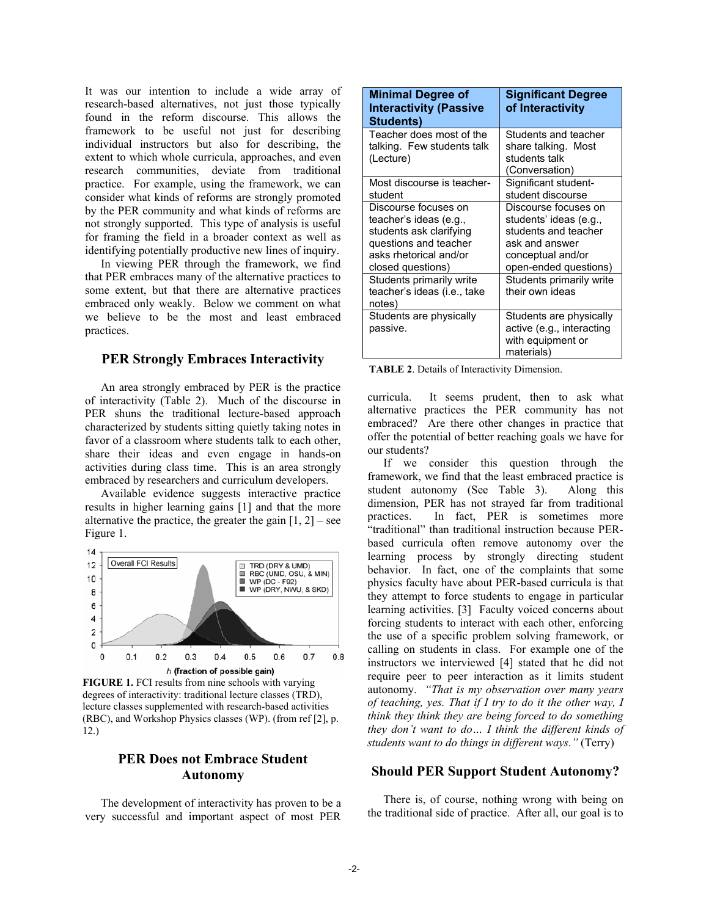It was our intention to include a wide array of research-based alternatives, not just those typically found in the reform discourse. This allows the framework to be useful not just for describing individual instructors but also for describing, the extent to which whole curricula, approaches, and even research communities, deviate from traditional practice. For example, using the framework, we can consider what kinds of reforms are strongly promoted by the PER community and what kinds of reforms are not strongly supported. This type of analysis is useful for framing the field in a broader context as well as identifying potentially productive new lines of inquiry.

In viewing PER through the framework, we find that PER embraces many of the alternative practices to some extent, but that there are alternative practices embraced only weakly. Below we comment on what we believe to be the most and least embraced practices.

#### **PER Strongly Embraces Interactivity**

An area strongly embraced by PER is the practice of interactivity (Table 2). Much of the discourse in PER shuns the traditional lecture-based approach characterized by students sitting quietly taking notes in favor of a classroom where students talk to each other, share their ideas and even engage in hands-on activities during class time. This is an area strongly embraced by researchers and curriculum developers.

Available evidence suggests interactive practice results in higher learning gains [1] and that the more alternative the practice, the greater the gain  $[1, 2]$  – see Figure 1.



**FIGURE 1.** FCI results from nine schools with varying degrees of interactivity: traditional lecture classes (TRD), lecture classes supplemented with research-based activities (RBC), and Workshop Physics classes (WP). (from ref [2], p. 12.)

## **PER Does not Embrace Student Autonomy**

The development of interactivity has proven to be a very successful and important aspect of most PER

| <b>Minimal Degree of</b><br><b>Interactivity (Passive</b><br><b>Students</b> )                                                                    | <b>Significant Degree</b><br>of Interactivity                                                                                          |
|---------------------------------------------------------------------------------------------------------------------------------------------------|----------------------------------------------------------------------------------------------------------------------------------------|
| Teacher does most of the<br>talking. Few students talk<br>(Lecture)                                                                               | Students and teacher<br>share talking. Most<br>students talk<br>(Conversation)                                                         |
| Most discourse is teacher-<br>student                                                                                                             | Significant student-<br>student discourse                                                                                              |
| Discourse focuses on<br>teacher's ideas (e.g.,<br>students ask clarifying<br>questions and teacher<br>asks rhetorical and/or<br>closed questions) | Discourse focuses on<br>students' ideas (e.g.,<br>students and teacher<br>ask and answer<br>conceptual and/or<br>open-ended questions) |
| Students primarily write<br>teacher's ideas (i.e., take<br>notes)                                                                                 | Students primarily write<br>their own ideas                                                                                            |
| Students are physically<br>passive.                                                                                                               | Students are physically<br>active (e.g., interacting<br>with equipment or<br>materials)                                                |

**TABLE 2**. Details of Interactivity Dimension.

curricula. It seems prudent, then to ask what alternative practices the PER community has not embraced? Are there other changes in practice that offer the potential of better reaching goals we have for our students?

If we consider this question through the framework, we find that the least embraced practice is student autonomy (See Table 3). Along this dimension, PER has not strayed far from traditional practices. In fact, PER is sometimes more "traditional" than traditional instruction because PERbased curricula often remove autonomy over the learning process by strongly directing student behavior. In fact, one of the complaints that some physics faculty have about PER-based curricula is that they attempt to force students to engage in particular learning activities. [3] Faculty voiced concerns about forcing students to interact with each other, enforcing the use of a specific problem solving framework, or calling on students in class. For example one of the instructors we interviewed [4] stated that he did not require peer to peer interaction as it limits student autonomy. *"That is my observation over many years of teaching, yes. That if I try to do it the other way, I think they think they are being forced to do something they don't want to do… I think the different kinds of students want to do things in different ways."* (Terry)

#### **Should PER Support Student Autonomy?**

There is, of course, nothing wrong with being on the traditional side of practice. After all, our goal is to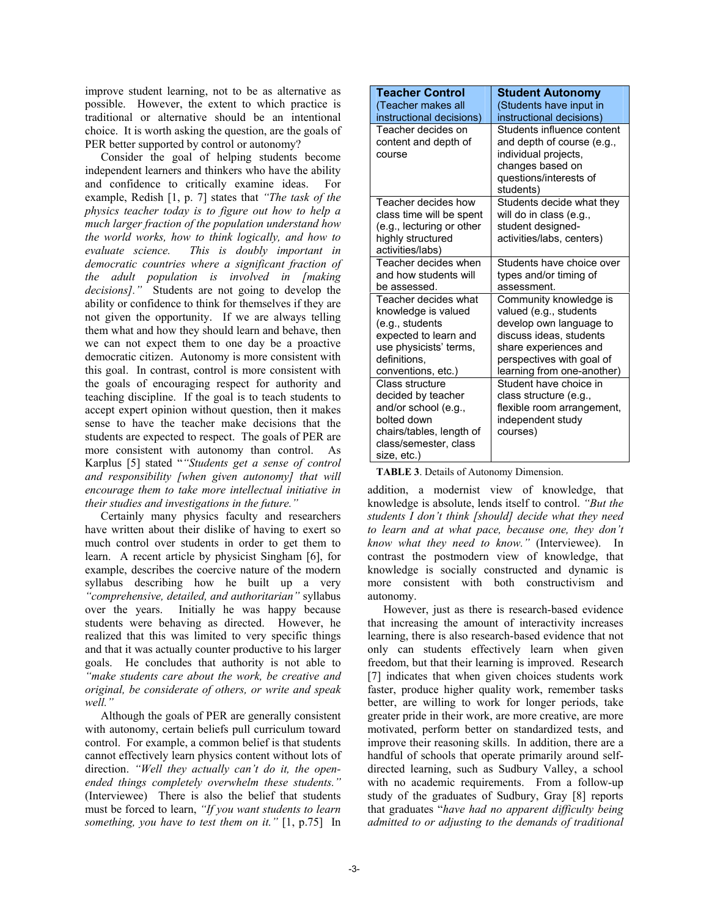improve student learning, not to be as alternative as possible. However, the extent to which practice is traditional or alternative should be an intentional choice. It is worth asking the question, are the goals of PER better supported by control or autonomy?

Consider the goal of helping students become independent learners and thinkers who have the ability and confidence to critically examine ideas. For example, Redish [1, p. 7] states that *"The task of the physics teacher today is to figure out how to help a much larger fraction of the population understand how the world works, how to think logically, and how to evaluate science. This is doubly important in democratic countries where a significant fraction of the adult population is involved in [making decisions]."* Students are not going to develop the ability or confidence to think for themselves if they are not given the opportunity. If we are always telling them what and how they should learn and behave, then we can not expect them to one day be a proactive democratic citizen. Autonomy is more consistent with this goal. In contrast, control is more consistent with the goals of encouraging respect for authority and teaching discipline. If the goal is to teach students to accept expert opinion without question, then it makes sense to have the teacher make decisions that the students are expected to respect. The goals of PER are more consistent with autonomy than control. As Karplus [5] stated "*"Students get a sense of control and responsibility [when given autonomy] that will encourage them to take more intellectual initiative in their studies and investigations in the future."* 

Certainly many physics faculty and researchers have written about their dislike of having to exert so much control over students in order to get them to learn. A recent article by physicist Singham [6], for example, describes the coercive nature of the modern syllabus describing how he built up a very *"comprehensive, detailed, and authoritarian"* syllabus over the years. Initially he was happy because students were behaving as directed. However, he realized that this was limited to very specific things and that it was actually counter productive to his larger goals. He concludes that authority is not able to *"make students care about the work, be creative and original, be considerate of others, or write and speak well."* 

Although the goals of PER are generally consistent with autonomy, certain beliefs pull curriculum toward control. For example, a common belief is that students cannot effectively learn physics content without lots of direction. *"Well they actually can't do it, the openended things completely overwhelm these students."* (Interviewee) There is also the belief that students must be forced to learn, *"If you want students to learn something, you have to test them on it."* [1, p.75] In

| <b>Teacher Control</b>    | <b>Student Autonomy</b>    |
|---------------------------|----------------------------|
| (Teacher makes all        | (Students have input in    |
| instructional decisions)  | instructional decisions)   |
| Teacher decides on        | Students influence content |
| content and depth of      | and depth of course (e.g., |
| course                    | individual projects,       |
|                           | changes based on           |
|                           | questions/interests of     |
|                           | students)                  |
| Teacher decides how       | Students decide what they  |
| class time will be spent  | will do in class (e.g.,    |
| (e.g., lecturing or other | student designed-          |
| highly structured         | activities/labs, centers)  |
| activities/labs)          |                            |
| Teacher decides when      | Students have choice over  |
| and how students will     | types and/or timing of     |
| be assessed.              | assessment.                |
| Teacher decides what      | Community knowledge is     |
| knowledge is valued       | valued (e.g., students     |
| (e.g., students           | develop own language to    |
| expected to learn and     | discuss ideas, students    |
| use physicists' terms,    | share experiences and      |
| definitions,              | perspectives with goal of  |
| conventions, etc.)        | learning from one-another) |
| Class structure           | Student have choice in     |
| decided by teacher        | class structure (e.g.,     |
| and/or school (e.g.,      | flexible room arrangement, |
| bolted down               | independent study          |
| chairs/tables, length of  | courses)                   |
| class/semester, class     |                            |
| size, etc.)               |                            |

addition, a modernist view of knowledge, that knowledge is absolute, lends itself to control. *"But the students I don't think [should] decide what they need to learn and at what pace, because one, they don't know what they need to know."* (Interviewee). In contrast the postmodern view of knowledge, that knowledge is socially constructed and dynamic is more consistent with both constructivism and autonomy.

However, just as there is research-based evidence that increasing the amount of interactivity increases learning, there is also research-based evidence that not only can students effectively learn when given freedom, but that their learning is improved. Research [7] indicates that when given choices students work faster, produce higher quality work, remember tasks better, are willing to work for longer periods, take greater pride in their work, are more creative, are more motivated, perform better on standardized tests, and improve their reasoning skills. In addition, there are a handful of schools that operate primarily around selfdirected learning, such as Sudbury Valley, a school with no academic requirements. From a follow-up study of the graduates of Sudbury, Gray [8] reports that graduates "*have had no apparent difficulty being admitted to or adjusting to the demands of traditional*